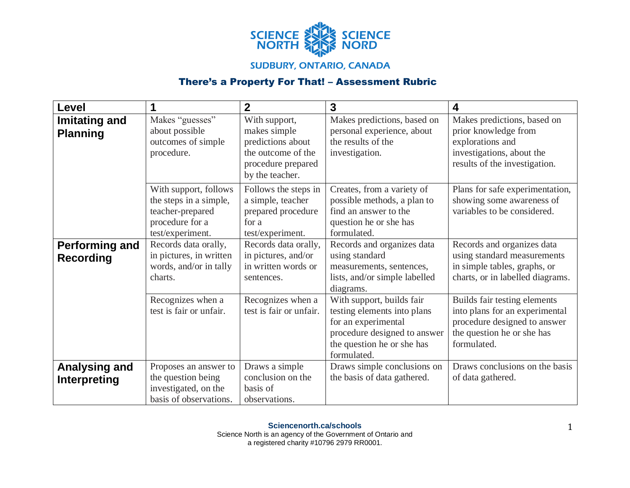

## **SUDBURY, ONTARIO, CANADA**

## There's a Property For That! – Assessment Rubric

| <b>Level</b>                         |                                                                                                            | $\overline{2}$                                                                                                    | $\mathbf{3}$                                                                                                                                                 | 4                                                                                                                                           |
|--------------------------------------|------------------------------------------------------------------------------------------------------------|-------------------------------------------------------------------------------------------------------------------|--------------------------------------------------------------------------------------------------------------------------------------------------------------|---------------------------------------------------------------------------------------------------------------------------------------------|
| Imitating and<br><b>Planning</b>     | Makes "guesses"<br>about possible<br>outcomes of simple<br>procedure.                                      | With support,<br>makes simple<br>predictions about<br>the outcome of the<br>procedure prepared<br>by the teacher. | Makes predictions, based on<br>personal experience, about<br>the results of the<br>investigation.                                                            | Makes predictions, based on<br>prior knowledge from<br>explorations and<br>investigations, about the<br>results of the investigation.       |
|                                      | With support, follows<br>the steps in a simple,<br>teacher-prepared<br>procedure for a<br>test/experiment. | Follows the steps in<br>a simple, teacher<br>prepared procedure<br>for a<br>test/experiment.                      | Creates, from a variety of<br>possible methods, a plan to<br>find an answer to the<br>question he or she has<br>formulated.                                  | Plans for safe experimentation,<br>showing some awareness of<br>variables to be considered.                                                 |
| Performing and<br><b>Recording</b>   | Records data orally,<br>in pictures, in written<br>words, and/or in tally<br>charts.                       | Records data orally,<br>in pictures, and/or<br>in written words or<br>sentences.                                  | Records and organizes data<br>using standard<br>measurements, sentences,<br>lists, and/or simple labelled<br>diagrams.                                       | Records and organizes data<br>using standard measurements<br>in simple tables, graphs, or<br>charts, or in labelled diagrams.               |
|                                      | Recognizes when a<br>test is fair or unfair.                                                               | Recognizes when a<br>test is fair or unfair.                                                                      | With support, builds fair<br>testing elements into plans<br>for an experimental<br>procedure designed to answer<br>the question he or she has<br>formulated. | Builds fair testing elements<br>into plans for an experimental<br>procedure designed to answer<br>the question he or she has<br>formulated. |
| <b>Analysing and</b><br>Interpreting | Proposes an answer to<br>the question being<br>investigated, on the<br>basis of observations.              | Draws a simple<br>conclusion on the<br>basis of<br>observations.                                                  | Draws simple conclusions on<br>the basis of data gathered.                                                                                                   | Draws conclusions on the basis<br>of data gathered.                                                                                         |